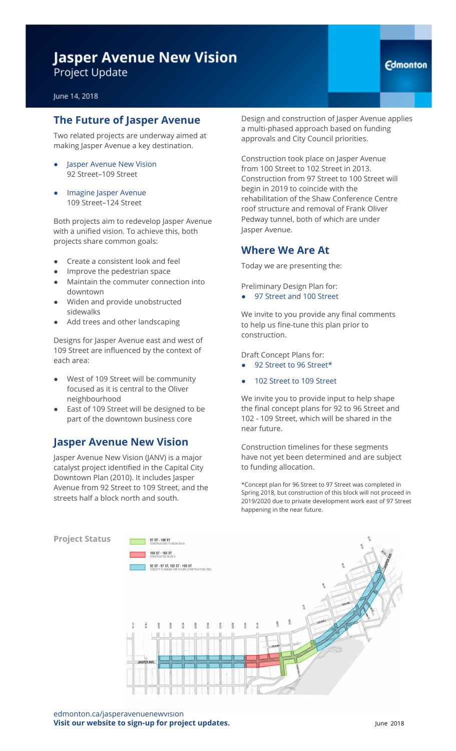## **Jasper Avenue New Vision** Project Update

#### June 14, 2018

#### **The Future of Jasper Avenue**

Two related projects are underway aimed at making Jasper Avenue a key destination.

- Jasper Avenue New Vision 92 Street–109 Street
- Imagine Jasper Avenue 109 Street–124 Street

Both projects aim to redevelop Jasper Avenue with a unified vision. To achieve this, both projects share common goals:

- Create a consistent look and feel
- Improve the pedestrian space
- Maintain the commuter connection into downtown
- Widen and provide unobstructed sidewalks
- Add trees and other landscaping

Designs for Jasper Avenue east and west of 109 Street are influenced by the context of each area:

- West of 109 Street will be community focused as it is central to the Oliver neighbourhood
- East of 109 Street will be designed to be part of the downtown business core

#### **Jasper Avenue New Vision**

Jasper Avenue New Vision (JANV) is a major catalyst project identified in the Capital City Downtown Plan (2010). It includes Jasper Avenue from 92 Street to 109 Street, and the streets half a block north and south.

Design and construction of Jasper Avenue applies a multi-phased approach based on funding approvals and City Council priorities.

Construction took place on Jasper Avenue from 100 Street to 102 Street in 2013. Construction from 97 Street to 100 Street will begin in 2019 to coincide with the rehabilitation of the Shaw Conference Centre roof structure and removal of Frank Oliver Pedway tunnel, both of which are under Jasper Avenue.

#### **Where We Are At**

Today we are presenting the:

Preliminary Design Plan for:

● 97 Street and 100 Street

We invite to you provide any final comments to help us fine-tune this plan prior to construction.

Draft Concept Plans for:

- 92 Street to 96 Street\*
- 102 Street to 109 Street

We invite you to provide input to help shape the final concept plans for 92 to 96 Street and 102 - 109 Street, which will be shared in the near future.

Construction timelines for these segments have not yet been determined and are subject to funding allocation.

\*Concept plan for 96 Street to 97 Street was completed in Spring 2018, but construction of this block will not proceed in 2019/2020 due to private development work east of 97 Street happening in the near future.



edmonton.ca/jasperavenuenewvision **Visit our website to sign-up for project updates.** June 2018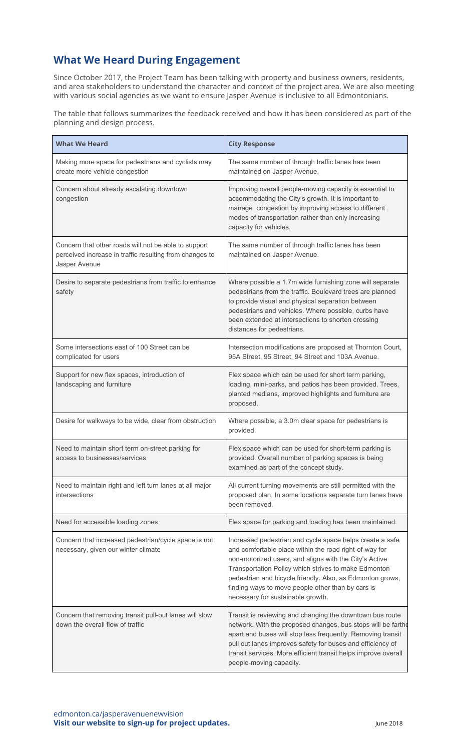### **What We Heard During Engagement**

Since October 2017, the Project Team has been talking with property and business owners, residents, and area stakeholders to understand the character and context of the project area. We are also meeting with various social agencies as we want to ensure Jasper Avenue is inclusive to all Edmontonians.

The table that follows summarizes the feedback received and how it has been considered as part of the planning and design process.

| <b>What We Heard</b>                                                                                                             | <b>City Response</b>                                                                                                                                                                                                                                                                                                                                                                        |
|----------------------------------------------------------------------------------------------------------------------------------|---------------------------------------------------------------------------------------------------------------------------------------------------------------------------------------------------------------------------------------------------------------------------------------------------------------------------------------------------------------------------------------------|
| Making more space for pedestrians and cyclists may<br>create more vehicle congestion                                             | The same number of through traffic lanes has been<br>maintained on Jasper Avenue.                                                                                                                                                                                                                                                                                                           |
| Concern about already escalating downtown<br>congestion                                                                          | Improving overall people-moving capacity is essential to<br>accommodating the City's growth. It is important to<br>manage congestion by improving access to different<br>modes of transportation rather than only increasing<br>capacity for vehicles.                                                                                                                                      |
| Concern that other roads will not be able to support<br>perceived increase in traffic resulting from changes to<br>Jasper Avenue | The same number of through traffic lanes has been<br>maintained on Jasper Avenue.                                                                                                                                                                                                                                                                                                           |
| Desire to separate pedestrians from traffic to enhance<br>safety                                                                 | Where possible a 1.7m wide furnishing zone will separate<br>pedestrians from the traffic. Boulevard trees are planned<br>to provide visual and physical separation between<br>pedestrians and vehicles. Where possible, curbs have<br>been extended at intersections to shorten crossing<br>distances for pedestrians.                                                                      |
| Some intersections east of 100 Street can be<br>complicated for users                                                            | Intersection modifications are proposed at Thornton Court,<br>95A Street, 95 Street, 94 Street and 103A Avenue.                                                                                                                                                                                                                                                                             |
| Support for new flex spaces, introduction of<br>landscaping and furniture                                                        | Flex space which can be used for short term parking,<br>loading, mini-parks, and patios has been provided. Trees,<br>planted medians, improved highlights and furniture are<br>proposed.                                                                                                                                                                                                    |
| Desire for walkways to be wide, clear from obstruction                                                                           | Where possible, a 3.0m clear space for pedestrians is<br>provided.                                                                                                                                                                                                                                                                                                                          |
| Need to maintain short term on-street parking for<br>access to businesses/services                                               | Flex space which can be used for short-term parking is<br>provided. Overall number of parking spaces is being<br>examined as part of the concept study.                                                                                                                                                                                                                                     |
| Need to maintain right and left turn lanes at all major<br>intersections                                                         | All current turning movements are still permitted with the<br>proposed plan. In some locations separate turn lanes have<br>been removed.                                                                                                                                                                                                                                                    |
| Need for accessible loading zones                                                                                                | Flex space for parking and loading has been maintained.                                                                                                                                                                                                                                                                                                                                     |
| Concern that increased pedestrian/cycle space is not<br>necessary, given our winter climate                                      | Increased pedestrian and cycle space helps create a safe<br>and comfortable place within the road right-of-way for<br>non-motorized users, and aligns with the City's Active<br>Transportation Policy which strives to make Edmonton<br>pedestrian and bicycle friendly. Also, as Edmonton grows,<br>finding ways to move people other than by cars is<br>necessary for sustainable growth. |
| Concern that removing transit pull-out lanes will slow<br>down the overall flow of traffic                                       | Transit is reviewing and changing the downtown bus route<br>network. With the proposed changes, bus stops will be farthe<br>apart and buses will stop less frequently. Removing transit<br>pull out lanes improves safety for buses and efficiency of<br>transit services. More efficient transit helps improve overall<br>people-moving capacity.                                          |